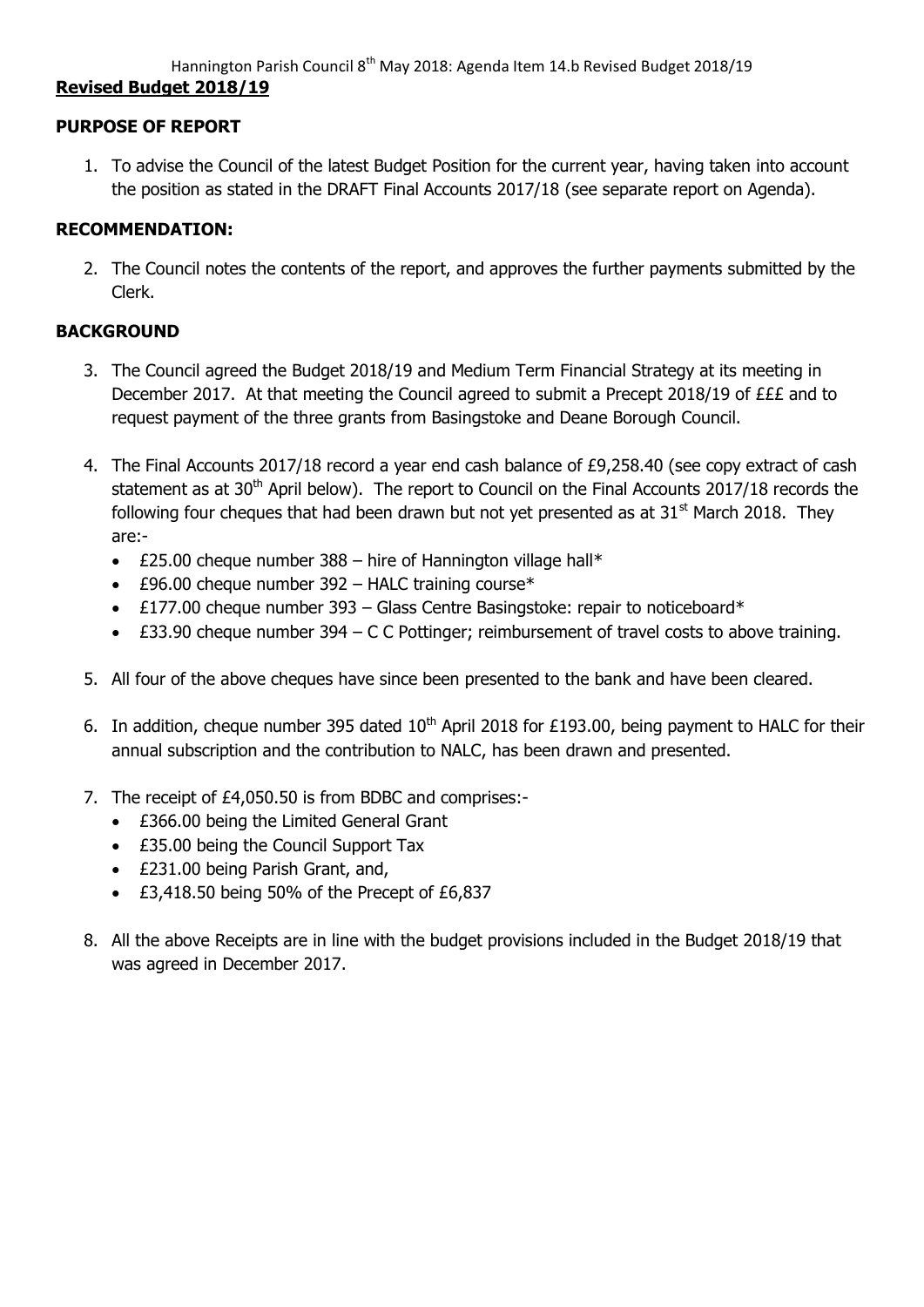# **Revised Budget 2018/19**

## **PURPOSE OF REPORT**

1. To advise the Council of the latest Budget Position for the current year, having taken into account the position as stated in the DRAFT Final Accounts 2017/18 (see separate report on Agenda).

### **RECOMMENDATION:**

2. The Council notes the contents of the report, and approves the further payments submitted by the Clerk.

### **BACKGROUND**

- 3. The Council agreed the Budget 2018/19 and Medium Term Financial Strategy at its meeting in December 2017. At that meeting the Council agreed to submit a Precept 2018/19 of £££ and to request payment of the three grants from Basingstoke and Deane Borough Council.
- 4. The Final Accounts 2017/18 record a year end cash balance of £9,258.40 (see copy extract of cash statement as at 30<sup>th</sup> April below). The report to Council on the Final Accounts 2017/18 records the following four cheques that had been drawn but not yet presented as at  $31<sup>st</sup>$  March 2018. They are:-
	- $\cdot$  £25.00 cheque number 388 hire of Hannington village hall\*
	- $\cdot$  £96.00 cheque number 392 HALC training course\*
	- $\cdot$  £177.00 cheque number 393 Glass Centre Basingstoke: repair to noticeboard\*
	- £33.90 cheque number 394 C C Pottinger; reimbursement of travel costs to above training.
- 5. All four of the above cheques have since been presented to the bank and have been cleared.
- 6. In addition, cheque number 395 dated  $10<sup>th</sup>$  April 2018 for £193.00, being payment to HALC for their annual subscription and the contribution to NALC, has been drawn and presented.
- 7. The receipt of £4,050.50 is from BDBC and comprises:-
	- £366.00 being the Limited General Grant
	- £35.00 being the Council Support Tax
	- £231.00 being Parish Grant, and,
	- £3,418.50 being 50% of the Precept of £6,837
- 8. All the above Receipts are in line with the budget provisions included in the Budget 2018/19 that was agreed in December 2017.